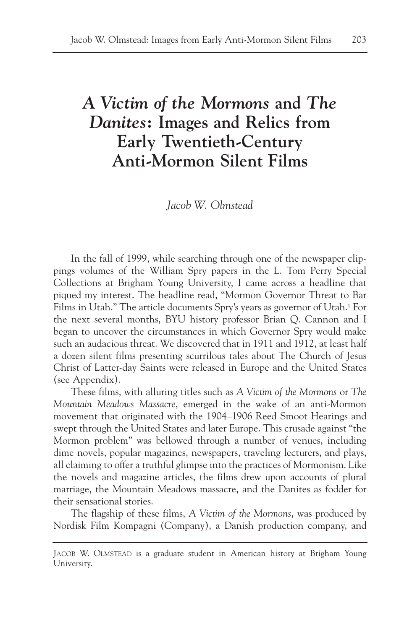# *A Victim of the Mormons* **and** *The Danites***: Images and Relics from Early Twentieth-Century Anti-Mormon Silent Films**

*Jacob W. Olmstead*

In the fall of 1999, while searching through one of the newspaper clippings volumes of the William Spry papers in the L. Tom Perry Special Collections at Brigham Young University, I came across a headline that piqued my interest. The headline read, "Mormon Governor Threat to Bar Films in Utah." The article documents Spry's years as governor of Utah.1 For the next several months, BYU history professor Brian Q. Cannon and I began to uncover the circumstances in which Governor Spry would make such an audacious threat. We discovered that in 1911 and 1912, at least half a dozen silent films presenting scurrilous tales about The Church of Jesus Christ of Latter-day Saints were released in Europe and the United States (see Appendix).

These films, with alluring titles such as *A Victim of the Mormons* or *The Mountain Meadows Massacre*, emerged in the wake of an anti-Mormon movement that originated with the 1904–1906 Reed Smoot Hearings and swept through the United States and later Europe. This crusade against "the Mormon problem" was bellowed through a number of venues, including dime novels, popular magazines, newspapers, traveling lecturers, and plays, all claiming to offer a truthful glimpse into the practices of Mormonism. Like the novels and magazine articles, the films drew upon accounts of plural marriage, the Mountain Meadows massacre, and the Danites as fodder for their sensational stories.

The flagship of these films, *A Victim of the Mormons*, was produced by Nordisk Film Kompagni (Company), a Danish production company, and

JACOB W. OLMSTEAD is a graduate student in American history at Brigham Young University.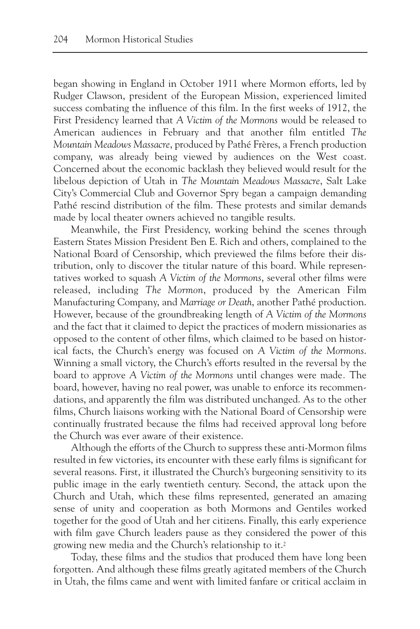began showing in England in October 1911 where Mormon efforts, led by Rudger Clawson, president of the European Mission, experienced limited success combating the influence of this film. In the first weeks of 1912, the First Presidency learned that *A Victim of the Mormons* would be released to American audiences in February and that another film entitled *The Mountain Meadows Massacre*, produced by Pathé Frères, a French production company, was already being viewed by audiences on the West coast. Concerned about the economic backlash they believed would result for the libelous depiction of Utah in *The Mountain Meadows Massacre*, Salt Lake City's Commercial Club and Governor Spry began a campaign demanding Pathé rescind distribution of the film. These protests and similar demands made by local theater owners achieved no tangible results.

Meanwhile, the First Presidency, working behind the scenes through Eastern States Mission President Ben E. Rich and others, complained to the National Board of Censorship, which previewed the films before their distribution, only to discover the titular nature of this board. While representatives worked to squash *A Victim of the Mormons*, several other films were released, including *The Mormon*, produced by the American Film Manufacturing Company, and *Marriage or Death*, another Pathé production. However, because of the groundbreaking length of *A Victim of the Mormons* and the fact that it claimed to depict the practices of modern missionaries as opposed to the content of other films, which claimed to be based on historical facts, the Church's energy was focused on *A Victim of the Mormons*. Winning a small victory, the Church's efforts resulted in the reversal by the board to approve *A Victim of the Mormons* until changes were made*.* The board, however, having no real power, was unable to enforce its recommendations, and apparently the film was distributed unchanged. As to the other films, Church liaisons working with the National Board of Censorship were continually frustrated because the films had received approval long before the Church was ever aware of their existence.

Although the efforts of the Church to suppress these anti-Mormon films resulted in few victories, its encounter with these early films is significant for several reasons. First, it illustrated the Church's burgeoning sensitivity to its public image in the early twentieth century. Second, the attack upon the Church and Utah, which these films represented, generated an amazing sense of unity and cooperation as both Mormons and Gentiles worked together for the good of Utah and her citizens. Finally, this early experience with film gave Church leaders pause as they considered the power of this growing new media and the Church's relationship to it.2

Today, these films and the studios that produced them have long been forgotten. And although these films greatly agitated members of the Church in Utah, the films came and went with limited fanfare or critical acclaim in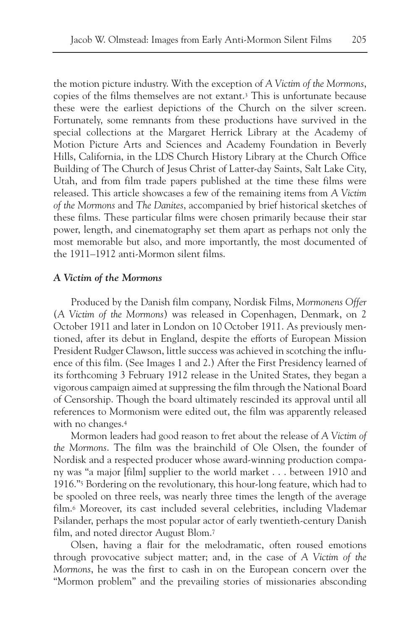the motion picture industry. With the exception of *A Victim of the Mormons*, copies of the films themselves are not extant.3 This is unfortunate because these were the earliest depictions of the Church on the silver screen. Fortunately, some remnants from these productions have survived in the special collections at the Margaret Herrick Library at the Academy of Motion Picture Arts and Sciences and Academy Foundation in Beverly Hills, California, in the LDS Church History Library at the Church Office Building of The Church of Jesus Christ of Latter-day Saints, Salt Lake City, Utah, and from film trade papers published at the time these films were released. This article showcases a few of the remaining items from *A Victim of the Mormons* and *The Danites*, accompanied by brief historical sketches of these films. These particular films were chosen primarily because their star power, length, and cinematography set them apart as perhaps not only the most memorable but also, and more importantly, the most documented of the 1911–1912 anti-Mormon silent films.

#### *A Victim of the Mormons*

Produced by the Danish film company, Nordisk Films, *Mormonens Offer* (*A Victim of the Mormons*) was released in Copenhagen, Denmark, on 2 October 1911 and later in London on 10 October 1911. As previously mentioned, after its debut in England, despite the efforts of European Mission President Rudger Clawson, little success was achieved in scotching the influence of this film. (See Images 1 and 2.) After the First Presidency learned of its forthcoming 3 February 1912 release in the United States, they began a vigorous campaign aimed at suppressing the film through the National Board of Censorship. Though the board ultimately rescinded its approval until all references to Mormonism were edited out, the film was apparently released with no changes.<sup>4</sup>

Mormon leaders had good reason to fret about the release of *A Victim of the Mormons*. The film was the brainchild of Ole Olsen, the founder of Nordisk and a respected producer whose award-winning production company was "a major [film] supplier to the world market . . . between 1910 and 1916."5 Bordering on the revolutionary, this hour-long feature, which had to be spooled on three reels, was nearly three times the length of the average film.6 Moreover, its cast included several celebrities, including Vlademar Psilander, perhaps the most popular actor of early twentieth-century Danish film, and noted director August Blom.7

Olsen, having a flair for the melodramatic, often roused emotions through provocative subject matter; and, in the case of *A Victim of the Mormons*, he was the first to cash in on the European concern over the "Mormon problem" and the prevailing stories of missionaries absconding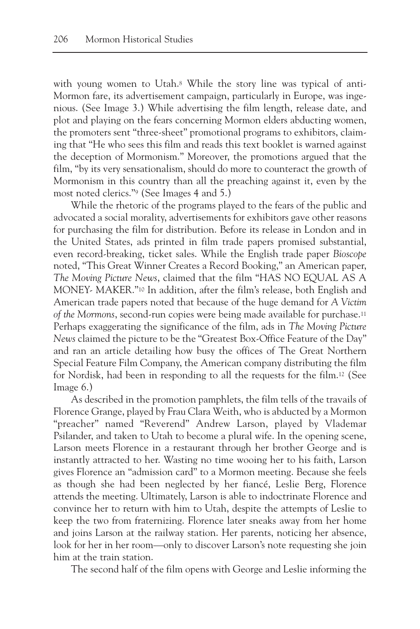with young women to Utah.<sup>8</sup> While the story line was typical of anti-Mormon fare, its advertisement campaign, particularly in Europe, was ingenious. (See Image 3.) While advertising the film length, release date, and plot and playing on the fears concerning Mormon elders abducting women, the promoters sent "three-sheet" promotional programs to exhibitors, claiming that "He who sees this film and reads this text booklet is warned against the deception of Mormonism." Moreover, the promotions argued that the film, "by its very sensationalism, should do more to counteract the growth of Mormonism in this country than all the preaching against it, even by the most noted clerics."9 (See Images 4 and 5.)

While the rhetoric of the programs played to the fears of the public and advocated a social morality, advertisements for exhibitors gave other reasons for purchasing the film for distribution. Before its release in London and in the United States, ads printed in film trade papers promised substantial, even record-breaking, ticket sales. While the English trade paper *Bioscope* noted, "This Great Winner Creates a Record Booking," an American paper, *The Moving Picture News*, claimed that the film "HAS NO EQUAL AS A MONEY- MAKER."10 In addition, after the film's release, both English and American trade papers noted that because of the huge demand for *A Victim of the Mormons*, second-run copies were being made available for purchase.11 Perhaps exaggerating the significance of the film, ads in *The Moving Picture News* claimed the picture to be the "Greatest Box-Office Feature of the Day" and ran an article detailing how busy the offices of The Great Northern Special Feature Film Company, the American company distributing the film for Nordisk, had been in responding to all the requests for the film.12 (See Image 6.)

As described in the promotion pamphlets, the film tells of the travails of Florence Grange, played by Frau Clara Weith, who is abducted by a Mormon "preacher" named "Reverend" Andrew Larson, played by Vlademar Psilander, and taken to Utah to become a plural wife. In the opening scene, Larson meets Florence in a restaurant through her brother George and is instantly attracted to her. Wasting no time wooing her to his faith, Larson gives Florence an "admission card" to a Mormon meeting. Because she feels as though she had been neglected by her fiancé, Leslie Berg, Florence attends the meeting. Ultimately, Larson is able to indoctrinate Florence and convince her to return with him to Utah, despite the attempts of Leslie to keep the two from fraternizing. Florence later sneaks away from her home and joins Larson at the railway station. Her parents, noticing her absence, look for her in her room—only to discover Larson's note requesting she join him at the train station.

The second half of the film opens with George and Leslie informing the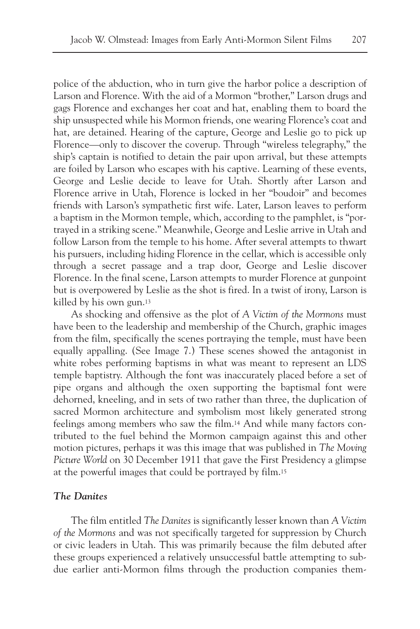police of the abduction, who in turn give the harbor police a description of Larson and Florence. With the aid of a Mormon "brother," Larson drugs and gags Florence and exchanges her coat and hat, enabling them to board the ship unsuspected while his Mormon friends, one wearing Florence's coat and hat, are detained. Hearing of the capture, George and Leslie go to pick up Florence—only to discover the coverup. Through "wireless telegraphy," the ship's captain is notified to detain the pair upon arrival, but these attempts are foiled by Larson who escapes with his captive. Learning of these events, George and Leslie decide to leave for Utah. Shortly after Larson and Florence arrive in Utah, Florence is locked in her "boudoir" and becomes friends with Larson's sympathetic first wife. Later, Larson leaves to perform a baptism in the Mormon temple, which, according to the pamphlet, is "portrayed in a striking scene." Meanwhile, George and Leslie arrive in Utah and follow Larson from the temple to his home. After several attempts to thwart his pursuers, including hiding Florence in the cellar, which is accessible only through a secret passage and a trap door, George and Leslie discover Florence. In the final scene, Larson attempts to murder Florence at gunpoint but is overpowered by Leslie as the shot is fired. In a twist of irony, Larson is killed by his own gun.13

As shocking and offensive as the plot of *A Victim of the Mormons* must have been to the leadership and membership of the Church, graphic images from the film, specifically the scenes portraying the temple, must have been equally appalling. (See Image 7.) These scenes showed the antagonist in white robes performing baptisms in what was meant to represent an LDS temple baptistry. Although the font was inaccurately placed before a set of pipe organs and although the oxen supporting the baptismal font were dehorned, kneeling, and in sets of two rather than three, the duplication of sacred Mormon architecture and symbolism most likely generated strong feelings among members who saw the film.14 And while many factors contributed to the fuel behind the Mormon campaign against this and other motion pictures, perhaps it was this image that was published in *The Moving Picture World* on 30 December 1911 that gave the First Presidency a glimpse at the powerful images that could be portrayed by film.15

## *The Danites*

The film entitled *The Danites* is significantly lesser known than *A Victim of the Mormons* and was not specifically targeted for suppression by Church or civic leaders in Utah. This was primarily because the film debuted after these groups experienced a relatively unsuccessful battle attempting to subdue earlier anti-Mormon films through the production companies them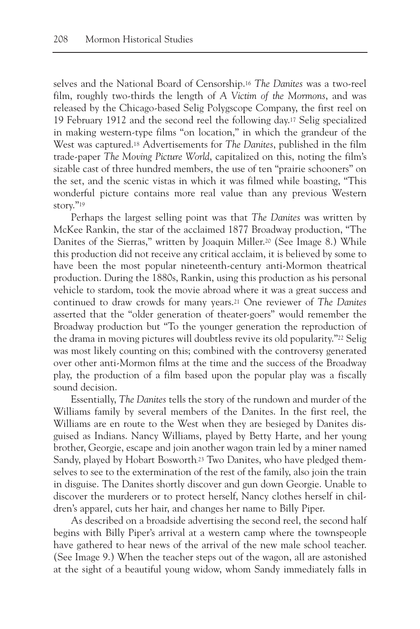selves and the National Board of Censorship.16 *The Danites* was a two-reel film, roughly two-thirds the length of *A Victim of the Mormons*, and was released by the Chicago-based Selig Polygscope Company, the first reel on 19 February 1912 and the second reel the following day.17 Selig specialized in making western-type films "on location," in which the grandeur of the West was captured.18 Advertisements for *The Danites*, published in the film trade-paper *The Moving Picture World*, capitalized on this, noting the film's sizable cast of three hundred members, the use of ten "prairie schooners" on the set, and the scenic vistas in which it was filmed while boasting, "This wonderful picture contains more real value than any previous Western story."<sup>19</sup>

Perhaps the largest selling point was that *The Danites* was written by McKee Rankin, the star of the acclaimed 1877 Broadway production, "The Danites of the Sierras," written by Joaquin Miller.20 (See Image 8.) While this production did not receive any critical acclaim, it is believed by some to have been the most popular nineteenth-century anti-Mormon theatrical production. During the 1880s, Rankin, using this production as his personal vehicle to stardom, took the movie abroad where it was a great success and continued to draw crowds for many years.21 One reviewer of *The Danites* asserted that the "older generation of theater-goers" would remember the Broadway production but "To the younger generation the reproduction of the drama in moving pictures will doubtless revive its old popularity."22 Selig was most likely counting on this; combined with the controversy generated over other anti-Mormon films at the time and the success of the Broadway play, the production of a film based upon the popular play was a fiscally sound decision.

Essentially, *The Danites* tells the story of the rundown and murder of the Williams family by several members of the Danites. In the first reel, the Williams are en route to the West when they are besieged by Danites disguised as Indians. Nancy Williams, played by Betty Harte, and her young brother, Georgie, escape and join another wagon train led by a miner named Sandy, played by Hobart Bosworth.<sup>23</sup> Two Danites, who have pledged themselves to see to the extermination of the rest of the family, also join the train in disguise. The Danites shortly discover and gun down Georgie. Unable to discover the murderers or to protect herself, Nancy clothes herself in children's apparel, cuts her hair, and changes her name to Billy Piper.

As described on a broadside advertising the second reel, the second half begins with Billy Piper's arrival at a western camp where the townspeople have gathered to hear news of the arrival of the new male school teacher. (See Image 9.) When the teacher steps out of the wagon, all are astonished at the sight of a beautiful young widow, whom Sandy immediately falls in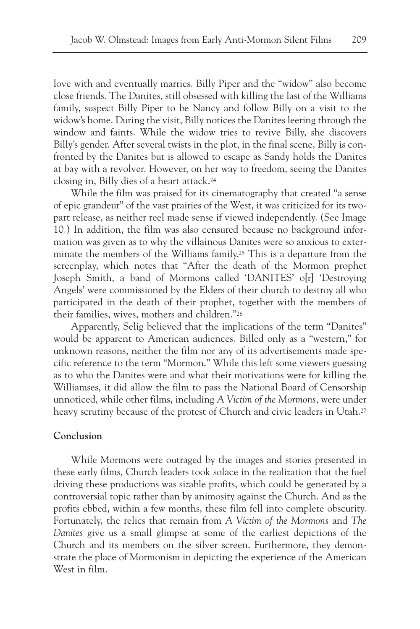love with and eventually marries. Billy Piper and the "widow" also become close friends. The Danites, still obsessed with killing the last of the Williams family, suspect Billy Piper to be Nancy and follow Billy on a visit to the widow's home. During the visit, Billy notices the Danites leering through the window and faints. While the widow tries to revive Billy, she discovers Billy's gender. After several twists in the plot, in the final scene, Billy is confronted by the Danites but is allowed to escape as Sandy holds the Danites at bay with a revolver. However, on her way to freedom, seeing the Danites closing in, Billy dies of a heart attack.24

While the film was praised for its cinematography that created "a sense of epic grandeur" of the vast prairies of the West, it was criticized for its twopart release, as neither reel made sense if viewed independently. (See Image 10.) In addition, the film was also censured because no background information was given as to why the villainous Danites were so anxious to exterminate the members of the Williams family.25 This is a departure from the screenplay, which notes that "After the death of the Mormon prophet Joseph Smith, a band of Mormons called 'DANITES' o[r] 'Destroying Angels' were commissioned by the Elders of their church to destroy all who participated in the death of their prophet, together with the members of their families, wives, mothers and children."26

Apparently, Selig believed that the implications of the term "Danites" would be apparent to American audiences. Billed only as a "western," for unknown reasons, neither the film nor any of its advertisements made specific reference to the term "Mormon." While this left some viewers guessing as to who the Danites were and what their motivations were for killing the Williamses, it did allow the film to pass the National Board of Censorship unnoticed, while other films, including *A Victim of the Mormons*, were under heavy scrutiny because of the protest of Church and civic leaders in Utah.27

#### **Conclusion**

While Mormons were outraged by the images and stories presented in these early films, Church leaders took solace in the realization that the fuel driving these productions was sizable profits, which could be generated by a controversial topic rather than by animosity against the Church. And as the profits ebbed, within a few months, these film fell into complete obscurity. Fortunately, the relics that remain from *A Victim of the Mormons* and *The Danites* give us a small glimpse at some of the earliest depictions of the Church and its members on the silver screen. Furthermore, they demonstrate the place of Mormonism in depicting the experience of the American West in film.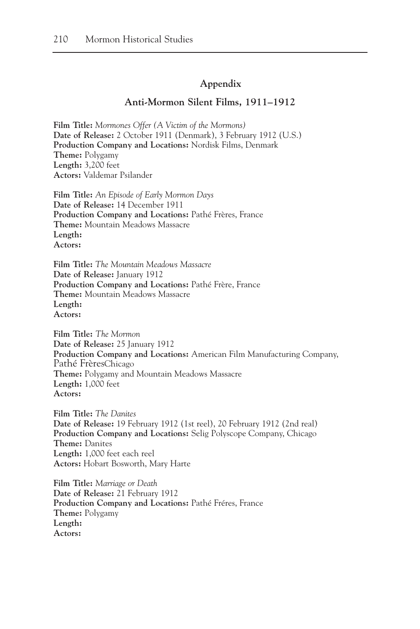### **Appendix**

#### **Anti-Mormon Silent Films, 1911–1912**

**Film Title:** *Mormones Offer (A Victim of the Mormons)* **Date of Release:** 2 October 1911 (Denmark), 3 February 1912 (U.S.) **Production Company and Locations:** Nordisk Films, Denmark **Theme:** Polygamy **Length:** 3,200 feet **Actors:** Valdemar Psilander

**Film Title:** *An Episode of Early Mormon Days* **Date of Release:** 14 December 1911 **Production Company and Locations:** Pathé Frères, France **Theme:** Mountain Meadows Massacre **Length: Actors:**

**Film Title:** *The Mountain Meadows Massacre* **Date of Release:** January 1912 **Production Company and Locations:** Pathé Frère, France **Theme:** Mountain Meadows Massacre **Length: Actors:**

**Film Title:** *The Mormon* **Date of Release:** 25 January 1912 **Production Company and Locations:** American Film Manufacturing Company, Pathé FrèresChicago **Theme:** Polygamy and Mountain Meadows Massacre **Length:** 1,000 feet **Actors:**

**Film Title:** *The Danites* **Date of Release:** 19 February 1912 (1st reel), 20 February 1912 (2nd real) **Production Company and Locations:** Selig Polyscope Company, Chicago **Theme:** Danites **Length:** 1,000 feet each reel **Actors:** Hobart Bosworth, Mary Harte

**Film Title:** *Marriage or Death* **Date of Release:** 21 February 1912 **Production Company and Locations:** Pathé Fréres, France **Theme:** Polygamy **Length: Actors:**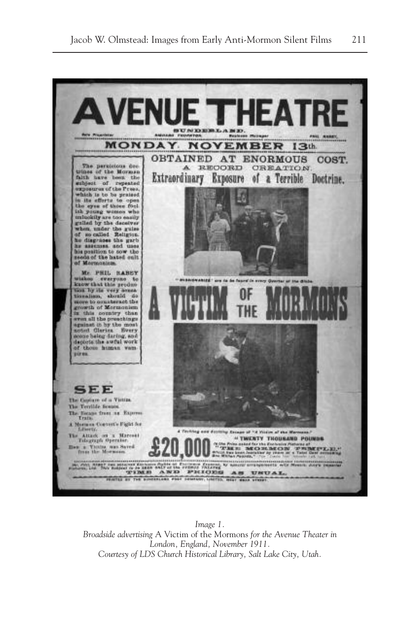

*Image 1. Broadside advertising* A Victim of the Mormons *for the Avenue Theater in London, England, November 1911. Courtesy of LDS Church Historical Library, Salt Lake City, Utah.*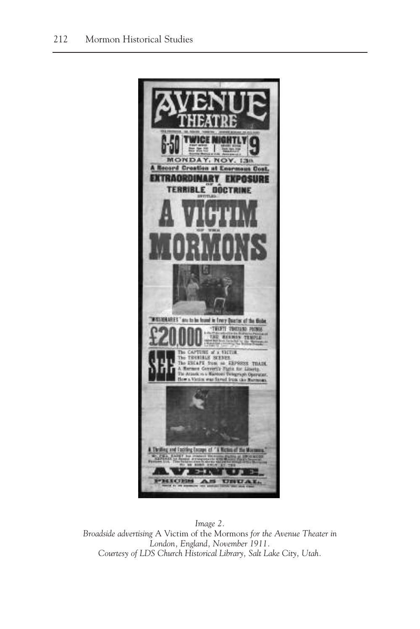

*Image 2. Broadside advertising* A Victim of the Mormons *for the Avenue Theater in London, England, November 1911. Courtesy of LDS Church Historical Library, Salt Lake City, Utah.*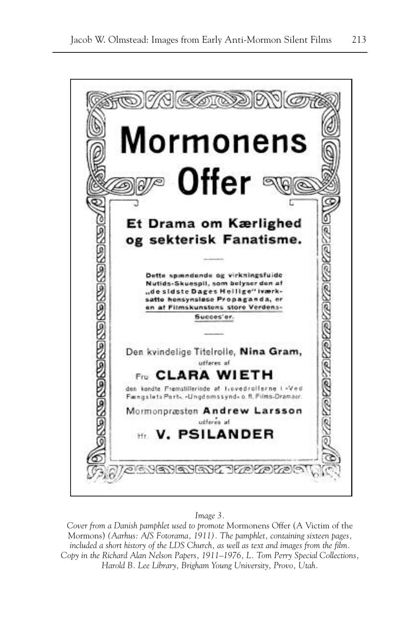

#### *Image 3.*

*Cover from a Danish pamphlet used to promote* Mormonens Offer (A Victim of the Mormons) *(Aarhus: A/S Fotorama, 1911). The pamphlet, containing sixteen pages, included a short history of the LDS Church, as well as text and images from the film. Copy in the Richard Alan Nelson Papers, 1911–1976, L. Tom Perry Special Collections, Harold B. Lee Library, Brigham Young University, Provo, Utah.*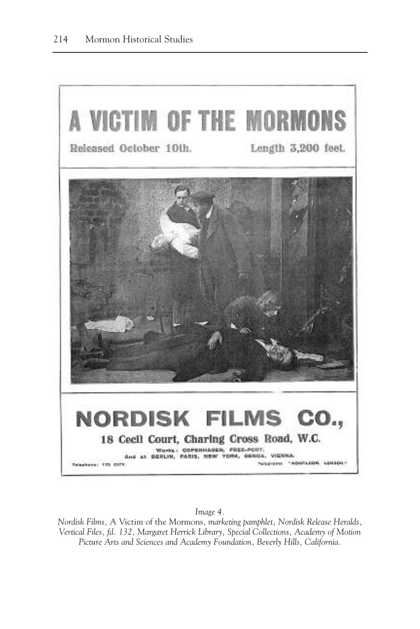

*Image 4.*

*Nordisk Films,* A Victim of the Mormons*, marketing pamphlet, Nordisk Release Heralds, Vertical Files, fd. 132, Margaret Herrick Library, Special Collections, Academy of Motion Picture Arts and Sciences and Academy Foundation, Beverly Hills, California.*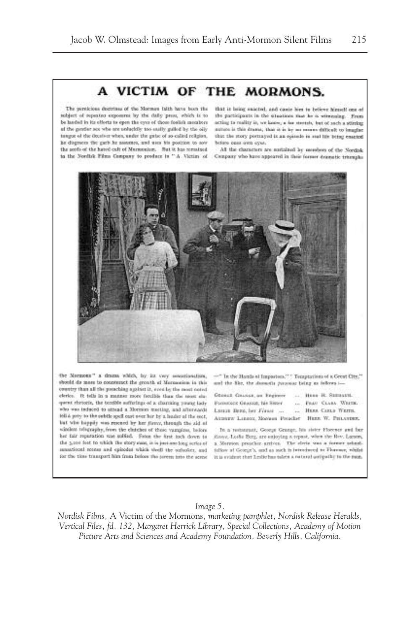# A VICTIM OF THE MORMONS.

The persicious decirious of the Mormou faith have been the subject of superior exposures by the daily pees, which is to be harded in its offerts to open the cyce of those foolish members of the gentler sex whe are unlucklik too easily guiled by the oily tangue of the decaiver when, under the gate: of so-called religion. he disguees the garb he assumes, and uses his position to sow the seeds of the hated cult of Marmonium. Set it has remained

that is being suicind, and cause him to believe himself one of the participants in the stuations size he is witnessing. From acting to mality in, we know, a new stretch, but of such a stirring patters is this drama, that is in by no recover difficult to imagine that the story portrayed is an episode in seal life being enacted before ones awn eyes.

All the characters are nutalized by members of the Needale in the North's Films Company to product in "A Victim of Company who have appeared in their former descratic transplat



the Naturetts" a thurst which, by its very associated int, should do more to counteract the growth of Morasseien in this country than all the potaching against it, even by the most noted elerico. It tells in a manner more familià than the seasy sixquent rhetoris, the terrible sufferings of a charcaing pound lady who was induced to attend a Morrison meeting, and afterwards led a prey to the orbite spell cast over her by a healer of the sect, but who happly was researd by her flerey, through the aid of similate telegraphy, from the clutches of those vampine, belone bet fair reparation was solfed. From the first toch down to the 3,100 feet to which the story sum, is is just are long series of sausticent recess and opinodes which theill the outsofter, and for the time transport him from below the pirem into the scroe.

-The the Hamiltoni Impactors," " Temptations of a Great City," and the file, the domestic process being as inflores i-

- Generi Gaussa, an Engineer Parauteck Gearge, No Sign-F. LESSE DEES, her Firest ....
- ... Here R. Sumarti. ... Page CLASS WHERE .. HERE CALLS WEITH.
- Attniew Langer, Rosteau Preacher Hunn W. PHLAYDER,

In a restorant, Goege Grange, his stater Florence and fordinys. Lothe Berg, are enjoying a repeat, when the Rev. Lucson, a Merrion preschir ambien. The sirele was a former schoolfollow at George's, and as such is introduced to Floremer, whilst It is evident that Leslie has taken a rational uniquilic to the sum.

#### *Image 5.*

*Nordisk Films,* A Victim of the Mormons*, marketing pamphlet, Nordisk Release Heralds, Vertical Files, fd. 132, Margaret Herrick Library, Special Collections, Academy of Motion Picture Arts and Sciences and Academy Foundation, Beverly Hills, California.*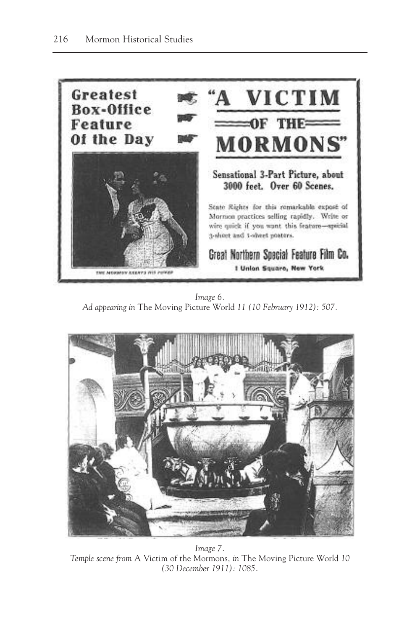

*Image 6. Ad appearing in* The Moving Picture World *11 (10 February 1912): 507.*



*Image 7. Temple scene from* A Victim of the Mormons*, in* The Moving Picture World *10 (30 December 1911): 1085.*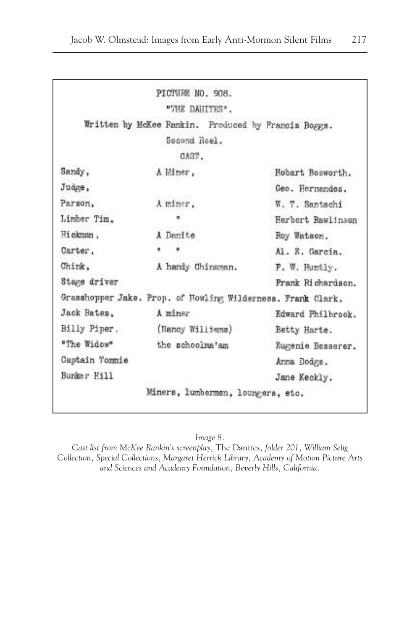|                | "SHE DANITES".                                              |                   |
|----------------|-------------------------------------------------------------|-------------------|
|                | Written by McKee Famkin. Produced by Francis Bogges.        |                   |
|                | Second Reel.                                                |                   |
|                | CAST.                                                       |                   |
| Sandy,         | A Hiner.                                                    | Hobart Bosworth.  |
| Judge,         |                                                             | Geo. Hernandes.   |
| Parson,        | A miner.                                                    | W. T. Santachi    |
| Limber Tim.    |                                                             | Herbert Rawlinson |
| Hickman.       | A Denite                                                    | Roy Watson.       |
| Carter.        |                                                             | Al. E. García.    |
| Chink.         | A handy Chinaman.                                           | F. W. Huntly.     |
| Stage driver   |                                                             | Frank Richardson. |
|                | Grasshopper Jake. Prop. of Howling Wilderness. Frank Clark. |                   |
| Jack Bates,    | A miner                                                     | Edward Philbrook. |
| Billy Piner,   | (Nancy Williams)                                            | Betty Harte.      |
| "The Widow"    | the schoolms'am                                             | Rugenie Besserer. |
| Captain Tommie |                                                             | Anna Dodge.       |
| Bunker Hill    |                                                             | Jane Keckly.      |

*Image 8.*

*Cast list from McKee Rankin's screenplay,* The Danites*, folder 201, William Selig Collection, Special Collections, Margaret Herrick Library, Academy of Motion Picture Arts and Sciences and Academy Foundation, Beverly Hills, California.*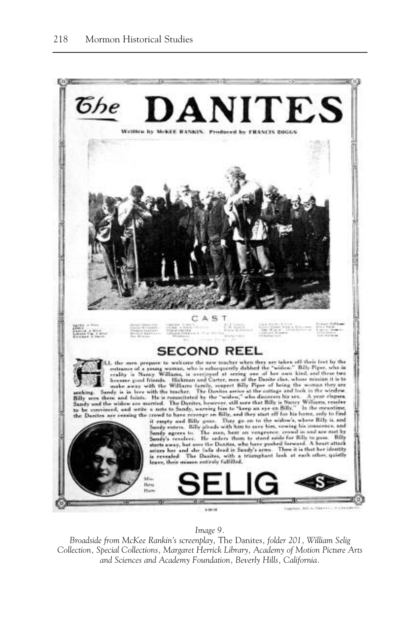

*Image 9.*

*Broadside from McKee Rankin's screenplay,* The Danites*, folder 201, William Selig Collection, Special Collections, Margaret Herrick Library, Academy of Motion Picture Arts and Sciences and Academy Foundation, Beverly Hills, California.*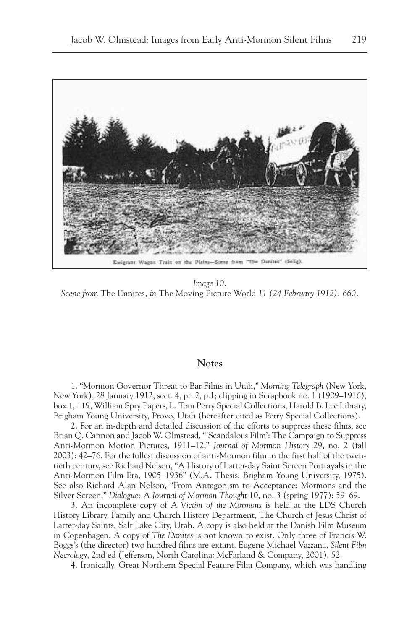

*Image 10. Scene from* The Danites*, in* The Moving Picture World *11 (24 February 1912): 660.*

#### **Notes**

1. "Mormon Governor Threat to Bar Films in Utah," *Morning Telegraph* (New York, New York), 28 January 1912, sect. 4, pt. 2, p.1; clipping in Scrapbook no. 1 (1909–1916), box 1, 119, William Spry Papers, L. Tom Perry Special Collections, Harold B. Lee Library, Brigham Young University, Provo, Utah (hereafter cited as Perry Special Collections).

2. For an in-depth and detailed discussion of the efforts to suppress these films, see Brian Q. Cannon and Jacob W. Olmstead, "'Scandalous Film': The Campaign to Suppress Anti-Mormon Motion Pictures, 1911–12," *Journal of Mormon History* 29, no. 2 (fall 2003): 42–76. For the fullest discussion of anti-Mormon film in the first half of the twentieth century, see Richard Nelson, "A History of Latter-day Saint Screen Portrayals in the Anti-Mormon Film Era, 1905–1936" (M.A. Thesis, Brigham Young University, 1975). See also Richard Alan Nelson, "From Antagonism to Acceptance: Mormons and the Silver Screen," *Dialogue: A Journal of Mormon Thought* 10, no. 3 (spring 1977): 59–69.

3. An incomplete copy of *A Victim of the Mormons* is held at the LDS Church History Library, Family and Church History Department, The Church of Jesus Christ of Latter-day Saints, Salt Lake City, Utah. A copy is also held at the Danish Film Museum in Copenhagen. A copy of *The Danites* is not known to exist. Only three of Francis W. Boggs's (the director) two hundred films are extant. Eugene Michael Vazzana, *Silent Film Necrology*, 2nd ed (Jefferson, North Carolina: McFarland & Company, 2001), 52.

4. Ironically, Great Northern Special Feature Film Company, which was handling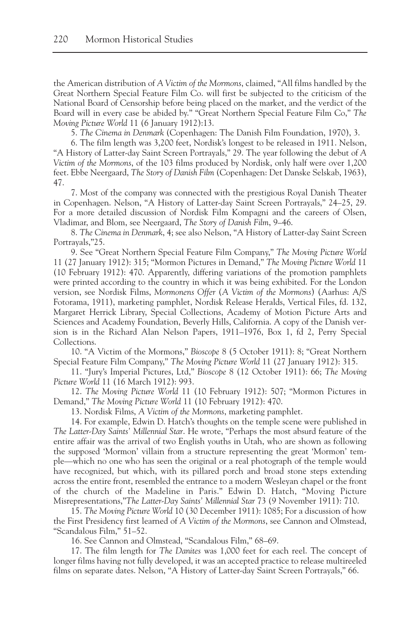the American distribution of *A Victim of the Mormons*, claimed, "All films handled by the Great Northern Special Feature Film Co. will first be subjected to the criticism of the National Board of Censorship before being placed on the market, and the verdict of the Board will in every case be abided by." "Great Northern Special Feature Film Co," *The Moving Picture World* 11 (6 January 1912):13.

5. *The Cinema in Denmark* (Copenhagen: The Danish Film Foundation, 1970), 3.

6. The film length was 3,200 feet, Nordisk's longest to be released in 1911. Nelson, "A History of Latter-day Saint Screen Portrayals," 29. The year following the debut of *A Victim of the Mormons*, of the 103 films produced by Nordisk, only half were over 1,200 feet. Ebbe Neergaard, *The Story of Danish Film* (Copenhagen: Det Danske Selskab, 1963), 47.

7. Most of the company was connected with the prestigious Royal Danish Theater in Copenhagen. Nelson, "A History of Latter-day Saint Screen Portrayals," 24–25, 29. For a more detailed discussion of Nordisk Film Kompagni and the careers of Olsen, Vladimar, and Blom, see Neergaard, *The Story of Danish Film*, 9–46.

8. *The Cinema in Denmark*, 4; see also Nelson, "A History of Latter-day Saint Screen Portrayals,"25.

9. See "Great Northern Special Feature Film Company," *The Moving Picture World* 11 (27 January 1912): 315; "Mormon Pictures in Demand," *The Moving Picture World* 11 (10 February 1912): 470. Apparently, differing variations of the promotion pamphlets were printed according to the country in which it was being exhibited. For the London version, see Nordisk Films, *Mormonens Offer* (*A Victim of the Mormons*) (Aarhus: A/S Fotorama, 1911), marketing pamphlet, Nordisk Release Heralds, Vertical Files, fd. 132, Margaret Herrick Library, Special Collections, Academy of Motion Picture Arts and Sciences and Academy Foundation, Beverly Hills, California. A copy of the Danish version is in the Richard Alan Nelson Papers, 1911–1976, Box 1, fd 2, Perry Special Collections.

10. "A Victim of the Mormons," *Bioscope* 8 (5 October 1911): 8; "Great Northern Special Feature Film Company," *The Moving Picture World* 11 (27 January 1912): 315.

11. "Jury's Imperial Pictures, Ltd," *Bioscope* 8 (12 October 1911): 66; *The Moving Picture World* 11 (16 March 1912): 993.

12. *The Moving Picture World* 11 (10 February 1912): 507; "Mormon Pictures in Demand," *The Moving Picture World* 11 (10 February 1912): 470.

13. Nordisk Films, *A Victim of the Mormons*, marketing pamphlet.

14. For example, Edwin D. Hatch's thoughts on the temple scene were published in *The Latter-Day Saints' Millennial Star*. He wrote, "Perhaps the most absurd feature of the entire affair was the arrival of two English youths in Utah, who are shown as following the supposed 'Mormon' villain from a structure representing the great 'Mormon' temple—which no one who has seen the original or a real photograph of the temple would have recognized, but which, with its pillared porch and broad stone steps extending across the entire front, resembled the entrance to a modern Wesleyan chapel or the front of the church of the Madeline in Paris." Edwin D. Hatch, "Moving Picture Misrepresentations,"*The Latter-Day Saints' Millennial Star* 73 (9 November 1911): 710.

15. *The Moving Picture World* 10 (30 December 1911): 1085; For a discussion of how the First Presidency first learned of *A Victim of the Mormons*, see Cannon and Olmstead, "Scandalous Film," 51–52.

16. See Cannon and Olmstead, "Scandalous Film," 68–69.

17. The film length for *The Danites* was 1,000 feet for each reel. The concept of longer films having not fully developed, it was an accepted practice to release multireeled films on separate dates. Nelson, "A History of Latter-day Saint Screen Portrayals," 66.